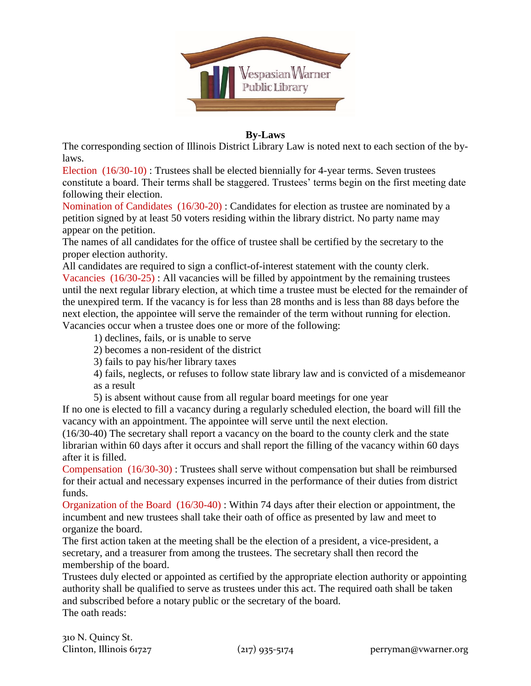

## **By-Laws**

The corresponding section of Illinois District Library Law is noted next to each section of the bylaws.

Election (16/30-10) : Trustees shall be elected biennially for 4-year terms. Seven trustees constitute a board. Their terms shall be staggered. Trustees' terms begin on the first meeting date following their election.

Nomination of Candidates (16/30-20) : Candidates for election as trustee are nominated by a petition signed by at least 50 voters residing within the library district. No party name may appear on the petition.

The names of all candidates for the office of trustee shall be certified by the secretary to the proper election authority.

All candidates are required to sign a conflict-of-interest statement with the county clerk. Vacancies (16/30-25) : All vacancies will be filled by appointment by the remaining trustees until the next regular library election, at which time a trustee must be elected for the remainder of the unexpired term. If the vacancy is for less than 28 months and is less than 88 days before the next election, the appointee will serve the remainder of the term without running for election. Vacancies occur when a trustee does one or more of the following:

1) declines, fails, or is unable to serve

2) becomes a non-resident of the district

3) fails to pay his/her library taxes

4) fails, neglects, or refuses to follow state library law and is convicted of a misdemeanor as a result

5) is absent without cause from all regular board meetings for one year

If no one is elected to fill a vacancy during a regularly scheduled election, the board will fill the vacancy with an appointment. The appointee will serve until the next election.

(16/30-40) The secretary shall report a vacancy on the board to the county clerk and the state librarian within 60 days after it occurs and shall report the filling of the vacancy within 60 days after it is filled.

Compensation (16/30-30) : Trustees shall serve without compensation but shall be reimbursed for their actual and necessary expenses incurred in the performance of their duties from district funds.

Organization of the Board (16/30-40) : Within 74 days after their election or appointment, the incumbent and new trustees shall take their oath of office as presented by law and meet to organize the board.

The first action taken at the meeting shall be the election of a president, a vice-president, a secretary, and a treasurer from among the trustees. The secretary shall then record the membership of the board.

Trustees duly elected or appointed as certified by the appropriate election authority or appointing authority shall be qualified to serve as trustees under this act. The required oath shall be taken and subscribed before a notary public or the secretary of the board. The oath reads: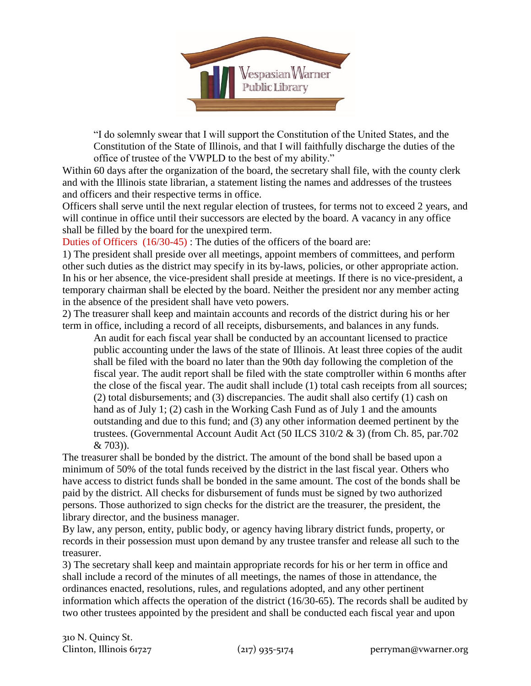

"I do solemnly swear that I will support the Constitution of the United States, and the Constitution of the State of Illinois, and that I will faithfully discharge the duties of the office of trustee of the VWPLD to the best of my ability."

Within 60 days after the organization of the board, the secretary shall file, with the county clerk and with the Illinois state librarian, a statement listing the names and addresses of the trustees and officers and their respective terms in office.

Officers shall serve until the next regular election of trustees, for terms not to exceed 2 years, and will continue in office until their successors are elected by the board. A vacancy in any office shall be filled by the board for the unexpired term.

Duties of Officers (16/30-45) : The duties of the officers of the board are:

1) The president shall preside over all meetings, appoint members of committees, and perform other such duties as the district may specify in its by-laws, policies, or other appropriate action. In his or her absence, the vice-president shall preside at meetings. If there is no vice-president, a temporary chairman shall be elected by the board. Neither the president nor any member acting in the absence of the president shall have veto powers.

2) The treasurer shall keep and maintain accounts and records of the district during his or her term in office, including a record of all receipts, disbursements, and balances in any funds.

An audit for each fiscal year shall be conducted by an accountant licensed to practice public accounting under the laws of the state of Illinois. At least three copies of the audit shall be filed with the board no later than the 90th day following the completion of the fiscal year. The audit report shall be filed with the state comptroller within 6 months after the close of the fiscal year. The audit shall include (1) total cash receipts from all sources; (2) total disbursements; and (3) discrepancies. The audit shall also certify (1) cash on hand as of July 1; (2) cash in the Working Cash Fund as of July 1 and the amounts outstanding and due to this fund; and (3) any other information deemed pertinent by the trustees. (Governmental Account Audit Act (50 ILCS 310/2 & 3) (from Ch. 85, par.702 & 703)).

The treasurer shall be bonded by the district. The amount of the bond shall be based upon a minimum of 50% of the total funds received by the district in the last fiscal year. Others who have access to district funds shall be bonded in the same amount. The cost of the bonds shall be paid by the district. All checks for disbursement of funds must be signed by two authorized persons. Those authorized to sign checks for the district are the treasurer, the president, the library director, and the business manager.

By law, any person, entity, public body, or agency having library district funds, property, or records in their possession must upon demand by any trustee transfer and release all such to the treasurer.

3) The secretary shall keep and maintain appropriate records for his or her term in office and shall include a record of the minutes of all meetings, the names of those in attendance, the ordinances enacted, resolutions, rules, and regulations adopted, and any other pertinent information which affects the operation of the district (16/30-65). The records shall be audited by two other trustees appointed by the president and shall be conducted each fiscal year and upon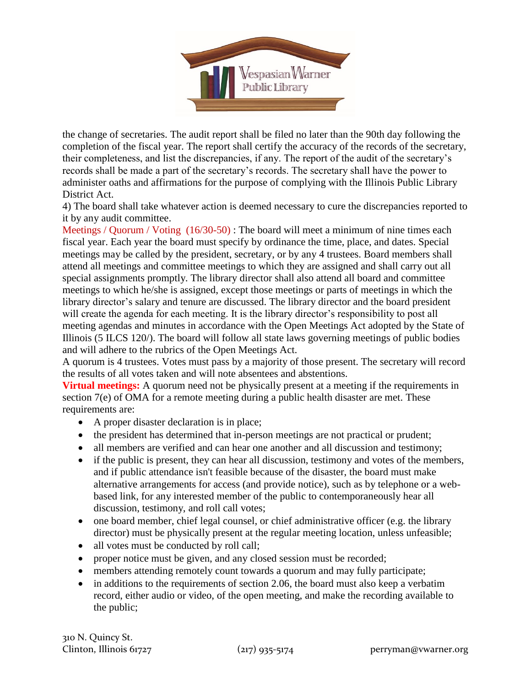

the change of secretaries. The audit report shall be filed no later than the 90th day following the completion of the fiscal year. The report shall certify the accuracy of the records of the secretary, their completeness, and list the discrepancies, if any. The report of the audit of the secretary's records shall be made a part of the secretary's records. The secretary shall have the power to administer oaths and affirmations for the purpose of complying with the Illinois Public Library District Act.

4) The board shall take whatever action is deemed necessary to cure the discrepancies reported to it by any audit committee.

Meetings / Quorum / Voting (16/30-50) : The board will meet a minimum of nine times each fiscal year. Each year the board must specify by ordinance the time, place, and dates. Special meetings may be called by the president, secretary, or by any 4 trustees. Board members shall attend all meetings and committee meetings to which they are assigned and shall carry out all special assignments promptly. The library director shall also attend all board and committee meetings to which he/she is assigned, except those meetings or parts of meetings in which the library director's salary and tenure are discussed. The library director and the board president will create the agenda for each meeting. It is the library director's responsibility to post all meeting agendas and minutes in accordance with the Open Meetings Act adopted by the State of Illinois (5 ILCS 120/). The board will follow all state laws governing meetings of public bodies and will adhere to the rubrics of the Open Meetings Act.

A quorum is 4 trustees. Votes must pass by a majority of those present. The secretary will record the results of all votes taken and will note absentees and abstentions.

**Virtual meetings:** A quorum need not be physically present at a meeting if the requirements in section 7(e) of OMA for a remote meeting during a public health disaster are met. These requirements are:

- A proper disaster declaration is in place;
- the president has determined that in-person meetings are not practical or prudent;
- all members are verified and can hear one another and all discussion and testimony;
- if the public is present, they can hear all discussion, testimony and votes of the members, and if public attendance isn't feasible because of the disaster, the board must make alternative arrangements for access (and provide notice), such as by telephone or a webbased link, for any interested member of the public to contemporaneously hear all discussion, testimony, and roll call votes;
- $\bullet$  one board member, chief legal counsel, or chief administrative officer (e.g. the library director) must be physically present at the regular meeting location, unless unfeasible;
- all votes must be conducted by roll call;
- proper notice must be given, and any closed session must be recorded;
- members attending remotely count towards a quorum and may fully participate;
- in additions to the requirements of section 2.06, the board must also keep a verbatim record, either audio or video, of the open meeting, and make the recording available to the public;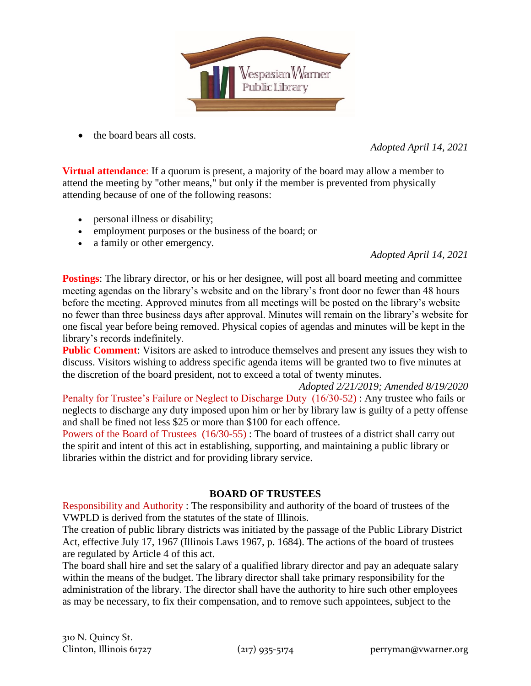

• the board bears all costs.

*Adopted April 14, 2021*

**Virtual attendance**: If a quorum is present, a majority of the board may allow a member to attend the meeting by "other means," but only if the member is prevented from physically attending because of one of the following reasons:

- personal illness or disability;
- employment purposes or the business of the board; or
- a family or other emergency.

*Adopted April 14, 2021*

**Postings**: The library director, or his or her designee, will post all board meeting and committee meeting agendas on the library's website and on the library's front door no fewer than 48 hours before the meeting. Approved minutes from all meetings will be posted on the library's website no fewer than three business days after approval. Minutes will remain on the library's website for one fiscal year before being removed. Physical copies of agendas and minutes will be kept in the library's records indefinitely.

**Public Comment:** Visitors are asked to introduce themselves and present any issues they wish to discuss. Visitors wishing to address specific agenda items will be granted two to five minutes at the discretion of the board president, not to exceed a total of twenty minutes.

*Adopted 2/21/2019; Amended 8/19/2020* Penalty for Trustee's Failure or Neglect to Discharge Duty (16/30-52) : Any trustee who fails or neglects to discharge any duty imposed upon him or her by library law is guilty of a petty offense and shall be fined not less \$25 or more than \$100 for each offence.

Powers of the Board of Trustees (16/30-55) : The board of trustees of a district shall carry out the spirit and intent of this act in establishing, supporting, and maintaining a public library or libraries within the district and for providing library service.

## **BOARD OF TRUSTEES**

Responsibility and Authority : The responsibility and authority of the board of trustees of the VWPLD is derived from the statutes of the state of Illinois.

The creation of public library districts was initiated by the passage of the Public Library District Act, effective July 17, 1967 (Illinois Laws 1967, p. 1684). The actions of the board of trustees are regulated by Article 4 of this act.

The board shall hire and set the salary of a qualified library director and pay an adequate salary within the means of the budget. The library director shall take primary responsibility for the administration of the library. The director shall have the authority to hire such other employees as may be necessary, to fix their compensation, and to remove such appointees, subject to the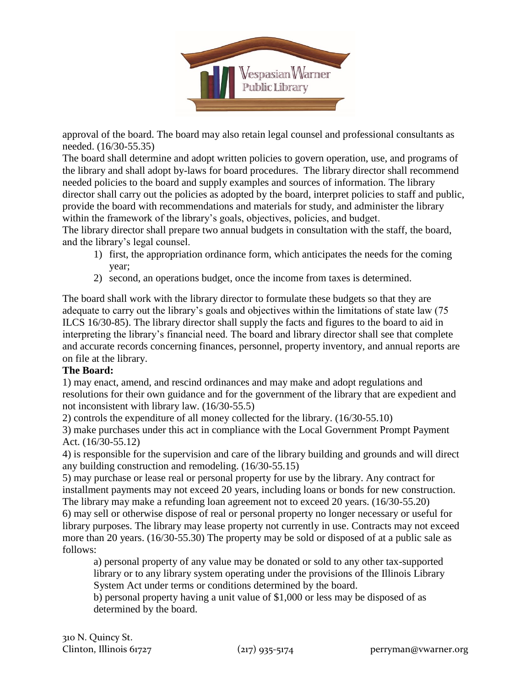

approval of the board. The board may also retain legal counsel and professional consultants as needed. (16/30-55.35)

The board shall determine and adopt written policies to govern operation, use, and programs of the library and shall adopt by-laws for board procedures. The library director shall recommend needed policies to the board and supply examples and sources of information. The library director shall carry out the policies as adopted by the board, interpret policies to staff and public, provide the board with recommendations and materials for study, and administer the library within the framework of the library's goals, objectives, policies, and budget.

The library director shall prepare two annual budgets in consultation with the staff, the board, and the library's legal counsel.

- 1) first, the appropriation ordinance form, which anticipates the needs for the coming year;
- 2) second, an operations budget, once the income from taxes is determined.

The board shall work with the library director to formulate these budgets so that they are adequate to carry out the library's goals and objectives within the limitations of state law (75 ILCS 16/30-85). The library director shall supply the facts and figures to the board to aid in interpreting the library's financial need. The board and library director shall see that complete and accurate records concerning finances, personnel, property inventory, and annual reports are on file at the library.

## **The Board:**

1) may enact, amend, and rescind ordinances and may make and adopt regulations and resolutions for their own guidance and for the government of the library that are expedient and not inconsistent with library law. (16/30-55.5)

2) controls the expenditure of all money collected for the library. (16/30-55.10)

3) make purchases under this act in compliance with the Local Government Prompt Payment Act. (16/30-55.12)

4) is responsible for the supervision and care of the library building and grounds and will direct any building construction and remodeling. (16/30-55.15)

5) may purchase or lease real or personal property for use by the library. Any contract for installment payments may not exceed 20 years, including loans or bonds for new construction. The library may make a refunding loan agreement not to exceed 20 years. (16/30-55.20)

6) may sell or otherwise dispose of real or personal property no longer necessary or useful for library purposes. The library may lease property not currently in use. Contracts may not exceed more than 20 years. (16/30-55.30) The property may be sold or disposed of at a public sale as follows:

a) personal property of any value may be donated or sold to any other tax-supported library or to any library system operating under the provisions of the Illinois Library System Act under terms or conditions determined by the board.

b) personal property having a unit value of \$1,000 or less may be disposed of as determined by the board.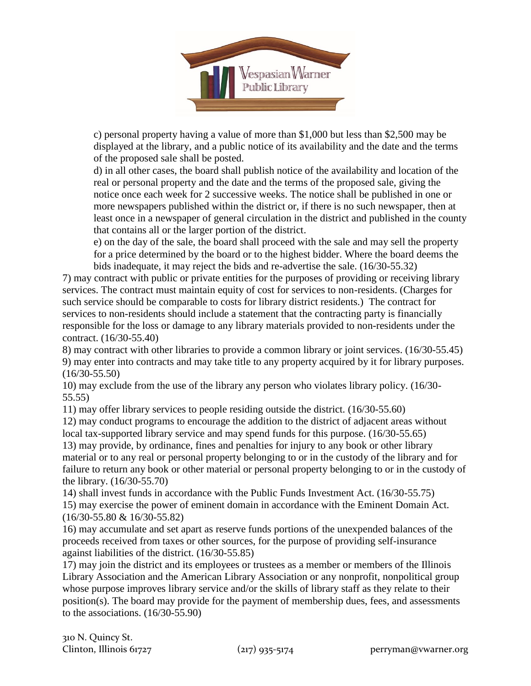

c) personal property having a value of more than \$1,000 but less than \$2,500 may be displayed at the library, and a public notice of its availability and the date and the terms of the proposed sale shall be posted.

d) in all other cases, the board shall publish notice of the availability and location of the real or personal property and the date and the terms of the proposed sale, giving the notice once each week for 2 successive weeks. The notice shall be published in one or more newspapers published within the district or, if there is no such newspaper, then at least once in a newspaper of general circulation in the district and published in the county that contains all or the larger portion of the district.

e) on the day of the sale, the board shall proceed with the sale and may sell the property for a price determined by the board or to the highest bidder. Where the board deems the bids inadequate, it may reject the bids and re-advertise the sale. (16/30-55.32)

7) may contract with public or private entities for the purposes of providing or receiving library services. The contract must maintain equity of cost for services to non-residents. (Charges for such service should be comparable to costs for library district residents.) The contract for services to non-residents should include a statement that the contracting party is financially responsible for the loss or damage to any library materials provided to non-residents under the contract. (16/30-55.40)

8) may contract with other libraries to provide a common library or joint services. (16/30-55.45) 9) may enter into contracts and may take title to any property acquired by it for library purposes. (16/30-55.50)

10) may exclude from the use of the library any person who violates library policy. (16/30- 55.55)

11) may offer library services to people residing outside the district. (16/30-55.60)

12) may conduct programs to encourage the addition to the district of adjacent areas without local tax-supported library service and may spend funds for this purpose. (16/30-55.65)

13) may provide, by ordinance, fines and penalties for injury to any book or other library material or to any real or personal property belonging to or in the custody of the library and for failure to return any book or other material or personal property belonging to or in the custody of the library. (16/30-55.70)

14) shall invest funds in accordance with the Public Funds Investment Act. (16/30-55.75) 15) may exercise the power of eminent domain in accordance with the Eminent Domain Act. (16/30-55.80 & 16/30-55.82)

16) may accumulate and set apart as reserve funds portions of the unexpended balances of the proceeds received from taxes or other sources, for the purpose of providing self-insurance against liabilities of the district. (16/30-55.85)

17) may join the district and its employees or trustees as a member or members of the Illinois Library Association and the American Library Association or any nonprofit, nonpolitical group whose purpose improves library service and/or the skills of library staff as they relate to their position(s). The board may provide for the payment of membership dues, fees, and assessments to the associations. (16/30-55.90)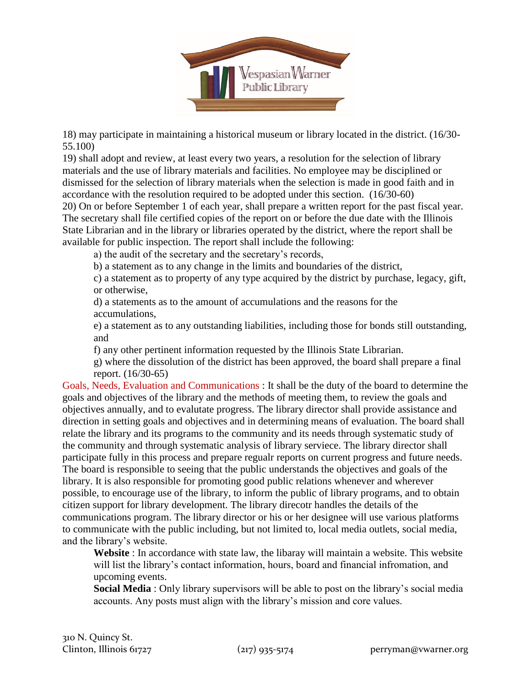

18) may participate in maintaining a historical museum or library located in the district. (16/30- 55.100)

19) shall adopt and review, at least every two years, a resolution for the selection of library materials and the use of library materials and facilities. No employee may be disciplined or dismissed for the selection of library materials when the selection is made in good faith and in accordance with the resolution required to be adopted under this section. (16/30-60)

20) On or before September 1 of each year, shall prepare a written report for the past fiscal year. The secretary shall file certified copies of the report on or before the due date with the Illinois State Librarian and in the library or libraries operated by the district, where the report shall be available for public inspection. The report shall include the following:

a) the audit of the secretary and the secretary's records,

b) a statement as to any change in the limits and boundaries of the district,

c) a statement as to property of any type acquired by the district by purchase, legacy, gift, or otherwise,

d) a statements as to the amount of accumulations and the reasons for the accumulations,

e) a statement as to any outstanding liabilities, including those for bonds still outstanding, and

f) any other pertinent information requested by the Illinois State Librarian.

g) where the dissolution of the district has been approved, the board shall prepare a final report. (16/30-65)

Goals, Needs, Evaluation and Communications : It shall be the duty of the board to determine the goals and objectives of the library and the methods of meeting them, to review the goals and objectives annually, and to evalutate progress. The library director shall provide assistance and direction in setting goals and objectives and in determining means of evaluation. The board shall relate the library and its programs to the community and its needs through systematic study of the community and through systematic analysis of library serviece. The library director shall participate fully in this process and prepare regualr reports on current progress and future needs. The board is responsible to seeing that the public understands the objectives and goals of the library. It is also responsible for promoting good public relations whenever and wherever possible, to encourage use of the library, to inform the public of library programs, and to obtain citizen support for library development. The library direcotr handles the details of the communications program. The library director or his or her designee will use various platforms to communicate with the public including, but not limited to, local media outlets, social media, and the library's website.

**Website** : In accordance with state law, the libaray will maintain a website. This website will list the library's contact information, hours, board and financial infromation, and upcoming events.

**Social Media** : Only library supervisors will be able to post on the library's social media accounts. Any posts must align with the library's mission and core values.